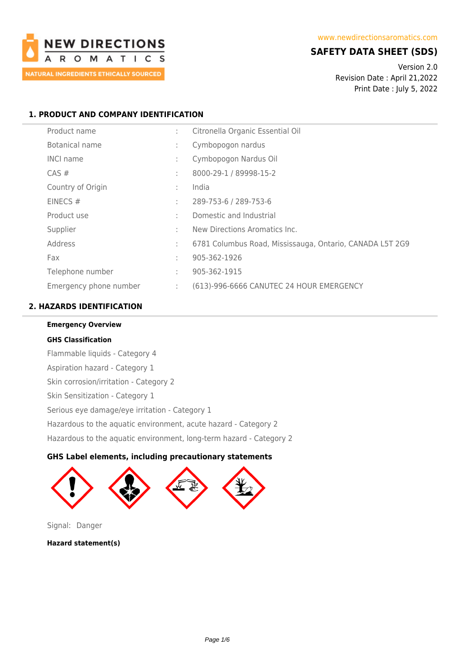

## **SAFETY DATA SHEET (SDS)**

Version 2.0 Revision Date : April 21,2022 Print Date : July 5, 2022

## **1. PRODUCT AND COMPANY IDENTIFICATION**

| Product name           | ÷            | Citronella Organic Essential Oil                         |
|------------------------|--------------|----------------------------------------------------------|
| Botanical name         | ÷            | Cymbopogon nardus                                        |
| <b>INCI name</b>       | ÷            | Cymbopogon Nardus Oil                                    |
| $CAS \#$               | ÷            | 8000-29-1 / 89998-15-2                                   |
| Country of Origin      | ÷            | India                                                    |
| EINECS#                | ÷            | 289-753-6 / 289-753-6                                    |
| Product use            | $\mathbf{r}$ | Domestic and Industrial                                  |
| Supplier               | ٠            | New Directions Aromatics Inc.                            |
| Address                | ÷            | 6781 Columbus Road, Mississauga, Ontario, CANADA L5T 2G9 |
| Fax                    | ÷            | 905-362-1926                                             |
| Telephone number       | ÷            | 905-362-1915                                             |
| Emergency phone number | ÷            | (613)-996-6666 CANUTEC 24 HOUR EMERGENCY                 |

## **2. HAZARDS IDENTIFICATION**

**Emergency Overview GHS Classification** Flammable liquids - Category 4 Aspiration hazard - Category 1 Skin corrosion/irritation - Category 2 Skin Sensitization - Category 1 Serious eye damage/eye irritation - Category 1 Hazardous to the aquatic environment, acute hazard - Category 2 Hazardous to the aquatic environment, long-term hazard - Category 2

## **GHS Label elements, including precautionary statements**



Signal: Danger

**Hazard statement(s)**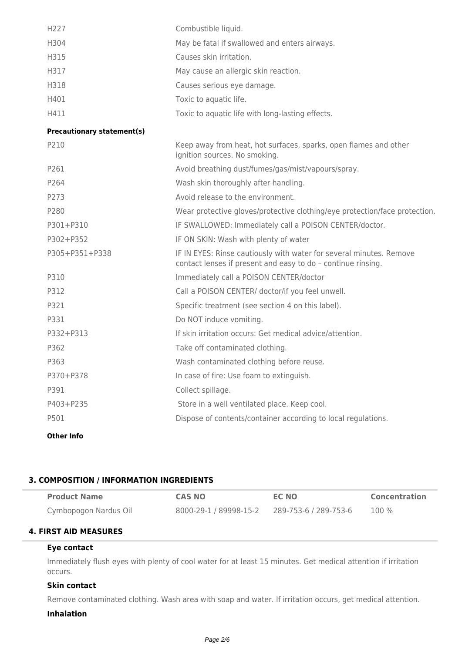| H227                              | Combustible liquid.                                                                                                                 |
|-----------------------------------|-------------------------------------------------------------------------------------------------------------------------------------|
| H304                              | May be fatal if swallowed and enters airways.                                                                                       |
| H315                              | Causes skin irritation.                                                                                                             |
| H317                              | May cause an allergic skin reaction.                                                                                                |
| H318                              | Causes serious eye damage.                                                                                                          |
| H401                              | Toxic to aquatic life.                                                                                                              |
| H411                              | Toxic to aquatic life with long-lasting effects.                                                                                    |
| <b>Precautionary statement(s)</b> |                                                                                                                                     |
| P210                              | Keep away from heat, hot surfaces, sparks, open flames and other<br>ignition sources. No smoking.                                   |
| P261                              | Avoid breathing dust/fumes/gas/mist/vapours/spray.                                                                                  |
| P264                              | Wash skin thoroughly after handling.                                                                                                |
| P273                              | Avoid release to the environment.                                                                                                   |
| P280                              | Wear protective gloves/protective clothing/eye protection/face protection.                                                          |
| P301+P310                         | IF SWALLOWED: Immediately call a POISON CENTER/doctor.                                                                              |
| P302+P352                         | IF ON SKIN: Wash with plenty of water                                                                                               |
| P305+P351+P338                    | IF IN EYES: Rinse cautiously with water for several minutes. Remove<br>contact lenses if present and easy to do - continue rinsing. |
| P310                              | Immediately call a POISON CENTER/doctor                                                                                             |
| P312                              | Call a POISON CENTER/ doctor/if you feel unwell.                                                                                    |
| P321                              | Specific treatment (see section 4 on this label).                                                                                   |
| P331                              | Do NOT induce vomiting.                                                                                                             |
| P332+P313                         | If skin irritation occurs: Get medical advice/attention.                                                                            |
| P362                              | Take off contaminated clothing.                                                                                                     |
| P363                              | Wash contaminated clothing before reuse.                                                                                            |
| P370+P378                         | In case of fire: Use foam to extinguish.                                                                                            |
| P391                              | Collect spillage.                                                                                                                   |
| P403+P235                         | Store in a well ventilated place. Keep cool.                                                                                        |
| P501                              | Dispose of contents/container according to local regulations.                                                                       |
|                                   |                                                                                                                                     |

**Other Info**

## **3. COMPOSITION / INFORMATION INGREDIENTS**

| <b>Product Name</b>   | <b>CAS NO</b>          | <b>EC NO</b>          | <b>Concentration</b> |
|-----------------------|------------------------|-----------------------|----------------------|
| Cymbopogon Nardus Oil | 8000-29-1 / 89998-15-2 | 289-753-6 / 289-753-6 | 100 %                |

## **4. FIRST AID MEASURES**

## **Eye contact**

Immediately flush eyes with plenty of cool water for at least 15 minutes. Get medical attention if irritation occurs.

## **Skin contact**

Remove contaminated clothing. Wash area with soap and water. If irritation occurs, get medical attention.

#### **Inhalation**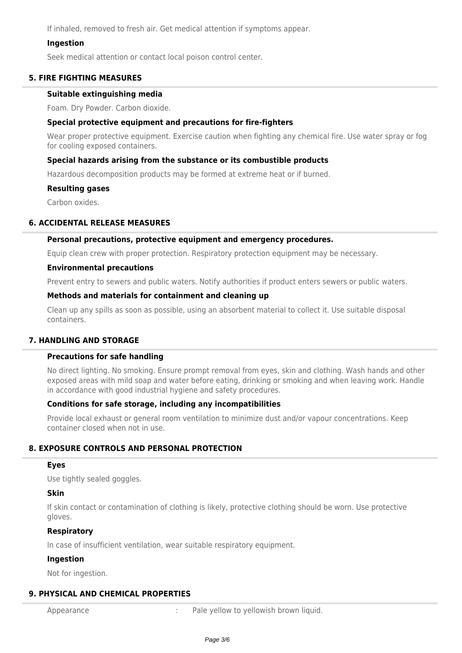If inhaled, removed to fresh air. Get medical attention if symptoms appear.

#### **Ingestion**

Seek medical attention or contact local poison control center.

#### **5. FIRE FIGHTING MEASURES**

#### **Suitable extinguishing media**

Foam. Dry Powder. Carbon dioxide.

#### **Special protective equipment and precautions for fire-fighters**

Wear proper protective equipment. Exercise caution when fighting any chemical fire. Use water spray or fog for cooling exposed containers.

#### **Special hazards arising from the substance or its combustible products**

Hazardous decomposition products may be formed at extreme heat or if burned.

#### **Resulting gases**

Carbon oxides.

#### **6. ACCIDENTAL RELEASE MEASURES**

#### **Personal precautions, protective equipment and emergency procedures.**

Equip clean crew with proper protection. Respiratory protection equipment may be necessary.

#### **Environmental precautions**

Prevent entry to sewers and public waters. Notify authorities if product enters sewers or public waters.

#### **Methods and materials for containment and cleaning up**

Clean up any spills as soon as possible, using an absorbent material to collect it. Use suitable disposal containers.

#### **7. HANDLING AND STORAGE**

#### **Precautions for safe handling**

No direct lighting. No smoking. Ensure prompt removal from eyes, skin and clothing. Wash hands and other exposed areas with mild soap and water before eating, drinking or smoking and when leaving work. Handle in accordance with good industrial hygiene and safety procedures.

#### **Conditions for safe storage, including any incompatibilities**

Provide local exhaust or general room ventilation to minimize dust and/or vapour concentrations. Keep container closed when not in use.

## **8. EXPOSURE CONTROLS AND PERSONAL PROTECTION**

#### **Eyes**

Use tightly sealed goggles.

#### **Skin**

If skin contact or contamination of clothing is likely, protective clothing should be worn. Use protective gloves.

#### **Respiratory**

In case of insufficient ventilation, wear suitable respiratory equipment.

#### **Ingestion**

Not for ingestion.

## **9. PHYSICAL AND CHEMICAL PROPERTIES**

Appearance **1992 1993 1993 1993 1994 1995 1996 1996 1996 1996 1996 1996 1996 1996 1996 1996 1999 1999 1999 1999 1999 1999 1999 1999 1999 1999 1999 1999 1999 1999**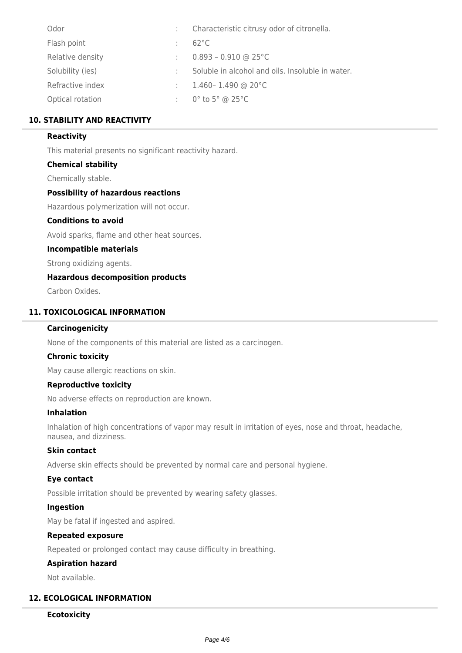| Odor             | Characteristic citrusy odor of citronella.       |
|------------------|--------------------------------------------------|
| Flash point      | $62^{\circ}$ C                                   |
| Relative density | $0.893 - 0.910$ @ 25°C                           |
| Solubility (ies) | Soluble in alcohol and oils. Insoluble in water. |
| Refractive index | $1.460 - 1.490$ @ 20 $^{\circ}$ C                |
| Optical rotation | $0^\circ$ to 5 $^\circ$ @ 25 $^\circ$ C          |

## **10. STABILITY AND REACTIVITY**

#### **Reactivity**

This material presents no significant reactivity hazard.

#### **Chemical stability**

Chemically stable.

#### **Possibility of hazardous reactions**

Hazardous polymerization will not occur.

#### **Conditions to avoid**

Avoid sparks, flame and other heat sources.

#### **Incompatible materials**

Strong oxidizing agents.

## **Hazardous decomposition products**

Carbon Oxides.

## **11. TOXICOLOGICAL INFORMATION**

#### **Carcinogenicity**

None of the components of this material are listed as a carcinogen.

#### **Chronic toxicity**

May cause allergic reactions on skin.

#### **Reproductive toxicity**

No adverse effects on reproduction are known.

#### **Inhalation**

Inhalation of high concentrations of vapor may result in irritation of eyes, nose and throat, headache, nausea, and dizziness.

#### **Skin contact**

Adverse skin effects should be prevented by normal care and personal hygiene.

#### **Eye contact**

Possible irritation should be prevented by wearing safety glasses.

## **Ingestion**

May be fatal if ingested and aspired.

#### **Repeated exposure**

Repeated or prolonged contact may cause difficulty in breathing.

#### **Aspiration hazard**

Not available.

#### **12. ECOLOGICAL INFORMATION**

#### **Ecotoxicity**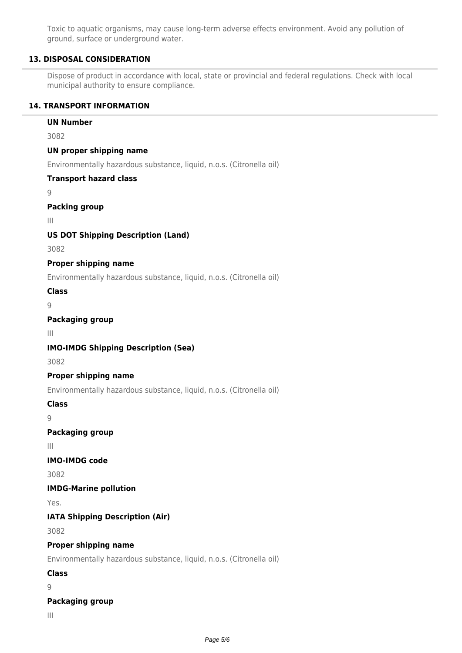Toxic to aquatic organisms, may cause long-term adverse effects environment. Avoid any pollution of ground, surface or underground water.

## **13. DISPOSAL CONSIDERATION**

Dispose of product in accordance with local, state or provincial and federal regulations. Check with local municipal authority to ensure compliance.

#### **14. TRANSPORT INFORMATION**

# **UN Number** 3082 **UN proper shipping name** Environmentally hazardous substance, liquid, n.o.s. (Citronella oil) **Transport hazard class**  $\overline{Q}$ **Packing group** III **US DOT Shipping Description (Land)** 3082 **Proper shipping name** Environmentally hazardous substance, liquid, n.o.s. (Citronella oil) **Class**  $\overline{Q}$ **Packaging group** III **IMO-IMDG Shipping Description (Sea)** 3082 **Proper shipping name** Environmentally hazardous substance, liquid, n.o.s. (Citronella oil) **Class** 9 **Packaging group** III **IMO-IMDG code** 3082 **IMDG-Marine pollution** Yes. **IATA Shipping Description (Air)** 3082 **Proper shipping name** Environmentally hazardous substance, liquid, n.o.s. (Citronella oil) **Class** 9 **Packaging group**

III